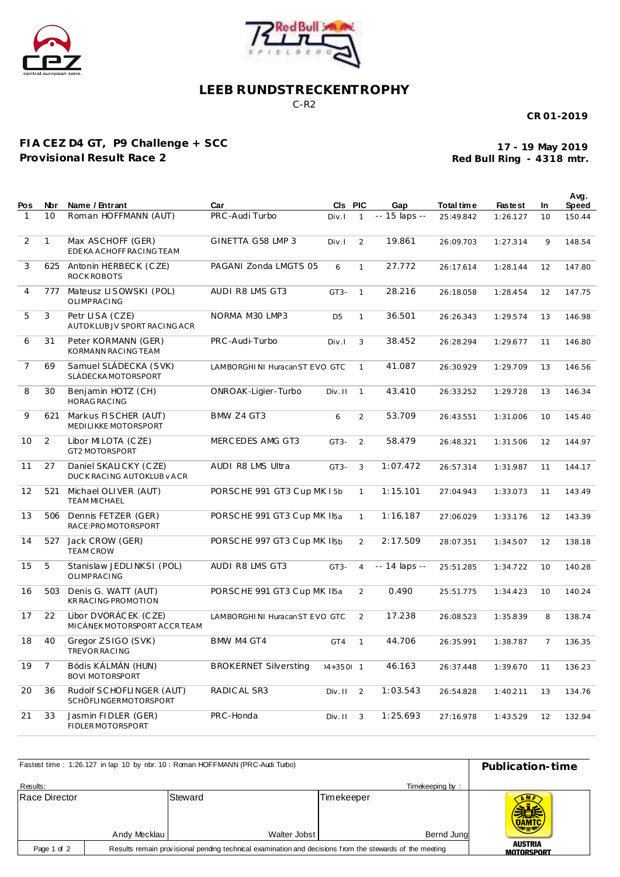



## **LEEB RUNDSTRECKENTROPHY**

C-R2

**CR 01-2019**

## **FIA CEZ D4 GT, P9 Challenge + SCC Provisional Result Race 2**

**Red Bull Ring - 4318 mtr. 17 - 19 May 2019**

| Pos            | Nbr            | Name / Entrant                                        | Car                            | CIS PIC        |                | Gap           | Total time | <b>Fastest</b> | In             | Avg.<br>Speed |
|----------------|----------------|-------------------------------------------------------|--------------------------------|----------------|----------------|---------------|------------|----------------|----------------|---------------|
| $\mathbf{1}$   | 10             | Roman HOFFMANN (AUT)                                  | PRC-Audi Turbo                 | Div.I          | $\mathbf{1}$   | -- 15 laps -- | 25:49.842  | 1:26.127       | 10             | 150.44        |
| 2              | $\mathbf{1}$   | Max ASCHOFF (GER)<br>EDE KA ACHOFF RACING TEAM        | GINETTA G58 LMP 3              | Div.1          | $\mathfrak{D}$ | 19.861        | 26:09.703  | 1:27.314       | 9              | 148.54        |
| 3              | 625            | Antonin HERBECK (CZE)<br>ROCK ROBOTS                  | PAGANI Zonda LMGTS 05          | 6              | $\mathbf{1}$   | 27.772        | 26:17.614  | 1:28.144       | 12             | 147.80        |
| 4              | 777            | Mateusz LISOWSKI (POL)<br><b>OLIMPRACING</b>          | AUDI R8 LMS GT3                | $GT3-$         | $\mathbf{1}$   | 28.216        | 26:18.058  | 1:28.454       | 12             | 147.75        |
| 5              | 3              | Petr LISA (CZE)<br>AUTOKLUB JV SPORT RACING ACR       | NORMA M30 LMP3                 | D <sub>5</sub> | $\mathbf{1}$   | 36.501        | 26:26.343  | 1:29.574       | 13             | 146.98        |
| 6              | 31             | Peter KORMANN (GER)<br>KORMANN RACING TEAM            | PRC-Audi-Turbo                 | Div.1          | 3              | 38.452        | 26:28.294  | 1:29.677       | 11             | 146.80        |
| $\overline{7}$ | 69             | Samuel SLÁDECKA (SVK)<br>SLÁDECKA MOTORSPORT          | LAMBORGHINI Huracan ST EVO GTC |                | $\mathbf{1}$   | 41.087        | 26:30.929  | 1:29.709       | 13             | 146.56        |
| 8              | 30             | Benjamin HOTZ (CH)<br><b>HORAG RACING</b>             | ONROAK-Ligier-Turbo            | Div. II        | $\mathbf{1}$   | 43.410        | 26:33.252  | 1:29.728       | 13             | 146.34        |
| 9              | 621            | Markus FISCHER (AUT)<br>MEDILIKKE MOTORSPORT          | BMW Z4 GT3                     | 6              | $\overline{2}$ | 53.709        | 26:43.551  | 1:31.006       | 10             | 145.40        |
| 10             | 2              | Libor MILOTA (CZE)<br>GT2 MOTORSPORT                  | MERCEDES AMG GT3               | GT3-           | $\overline{2}$ | 58.479        | 26:48.321  | 1:31.506       | 12             | 144.97        |
| 11             | 27             | Daniel SKALICKY (CZE)<br>DUCK RACING AUTOKLUB VACR    | AUDI R8 LMS Ultra              | $GT3-$         | 3              | 1:07.472      | 26:57.314  | 1:31.987       | 11             | 144.17        |
| 12             | 521            | Michael OLIVER (AUT)<br><b>TEAM MICHAEL</b>           | PORSCHE 991 GT3 Cup MK I 5b    |                | $\mathbf{1}$   | 1:15.101      | 27:04.943  | 1:33.073       | 11             | 143.49        |
| 13             | 506            | Dennis FETZER (GER)<br>RACE:PROMOTORSPORT             | PORSCHE 991 GT3 Cup MK Iba     |                | $\mathbf{1}$   | 1:16.187      | 27:06.029  | 1:33.176       | 12             | 143.39        |
| 14             | 527            | Jack CROW (GER)<br><b>TEAM CROW</b>                   | PORSCHE 997 GT3 Cup MK I5b     |                | $\overline{2}$ | 2:17.509      | 28:07.351  | 1:34.507       | 12             | 138.18        |
| 15             | 5              | Stanislaw JEDLINKSI (POL)<br><b>OLIMPRACING</b>       | AUDI R8 LMS GT3                | $GT3-$         | $\overline{4}$ | -- 14 laps -- | 25:51.285  | 1:34.722       | 10             | 140.28        |
| 16             | 503            | Denis G. WATT (AUT)<br>KR RACING-PROMOTION            | PORSCHE 991 GT3 Cup MK Iba     |                | $\overline{2}$ | 0.490         | 25:51.775  | 1:34.423       | 10             | 140.24        |
| 17             | 22             | Libor DVORÁC EK (CZE)<br>MICÁNEK MOTORSPORT ACCR TEAM | LAMBORGHINI Huracan ST EVO GTC |                | $\mathfrak{D}$ | 17.238        | 26:08.523  | 1:35.839       | 8              | 138.74        |
| 18             | 40             | Gregor ZSIGO (SVK)<br><b>TREVOR RACING</b>            | BMW M4 GT4                     | GT4            | $\mathbf{1}$   | 44.706        | 26:35.991  | 1:38.787       | $\overline{7}$ | 136.35        |
| 19             | $\overline{7}$ | Bódis KÁLMÁN (HUN)<br><b>BOVI MOTORSPORT</b>          | <b>BROKERNET Silversting</b>   | $14 + 350 - 1$ |                | 46.163        | 26:37.448  | 1:39.670       | 11             | 136.23        |
| 20             | 36             | Rudolf SCHÖFLINGER (AUT)<br>SCHÖFLINGERMOTORSPORT     | RADICAL SR3                    | Div. II        | 2              | 1:03.543      | 26:54.828  | 1:40.211       | 13             | 134.76        |
| 21             | 33             | Jasmin FIDLER (GER)<br>FIDLER MOTORSPORT              | PRC-Honda                      | Div. II        | 3              | 1:25.693      | 27:16.978  | 1:43.529       | 12             | 132.94        |

| Fastest time: 1:26.127 in lap 10 by nbr. 10: Roman HOFFMANN (PRC-Audi Turbo) | Publication-time                                                                                        |                         |                          |                                              |  |  |  |
|------------------------------------------------------------------------------|---------------------------------------------------------------------------------------------------------|-------------------------|--------------------------|----------------------------------------------|--|--|--|
| Results:                                                                     |                                                                                                         |                         | Timekeeping by:          |                                              |  |  |  |
| Race Director                                                                | Andy Mecklau                                                                                            | Steward<br>Walter Jobst | Timekeeper<br>Bernd Jung | <b>AMF</b><br><b>OAMTC</b><br><b>AUSTRIA</b> |  |  |  |
| Page 1 of 2                                                                  | Results remain provisional pending technical examination and decisions from the stewards of the meeting |                         |                          |                                              |  |  |  |